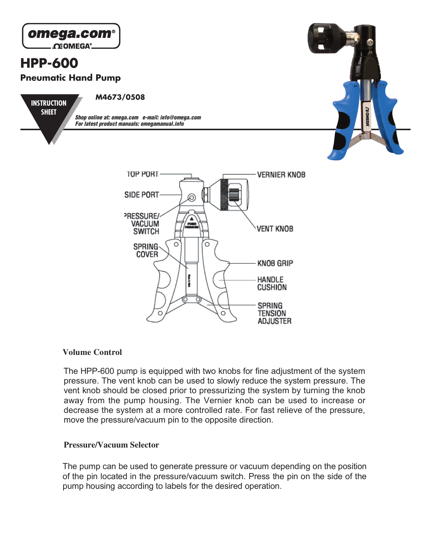

# **Volume Control**

The HPP-600 pump is equipped with two knobs for fine adjustment of the system pressure. The vent knob can be used to slowly reduce the system pressure. The vent knob should be closed prior to pressurizing the system by turning the knob away from the pump housing. The Vernier knob can be used to increase or decrease the system at a more controlled rate. For fast relieve of the pressure, move the pressure/vacuum pin to the opposite direction.

#### **Pressure/Vacuum Selector**

The pump can be used to generate pressure or vacuum depending on the position of the pin located in the pressure/vacuum switch. Press the pin on the side of the pump housing according to labels for the desired operation.